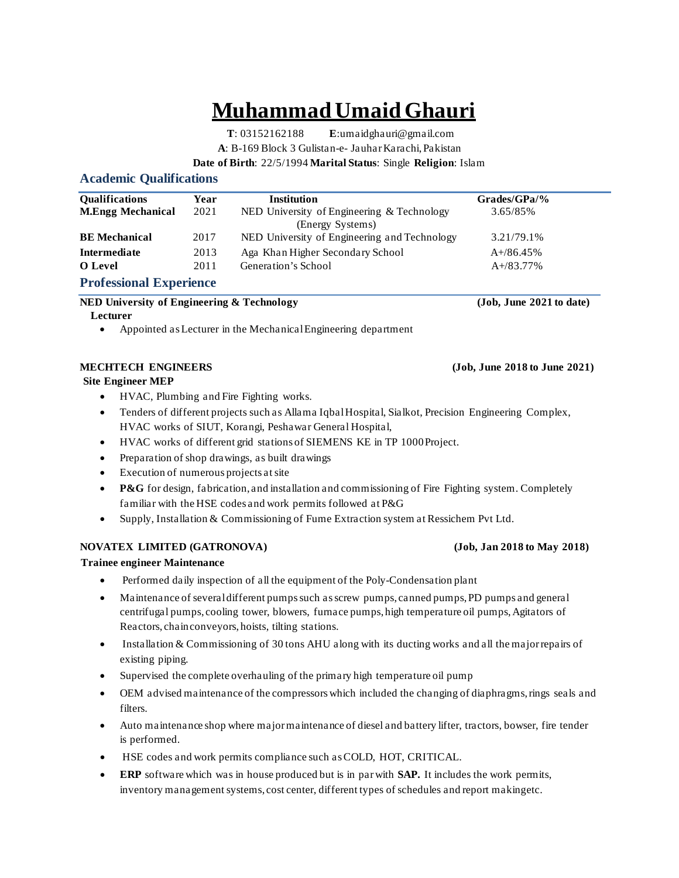# **Muhammad Umaid Ghauri**

**T**: 03152162188 **E**[:umaidghauri@gmail.com](mailto:umaidghauri@gmail.com) **A**: B-169 Block 3 Gulistan-e- JauharKarachi,Pakistan

**Date of Birth**: 22/5/1994 **Marital Status**: Single **Religion**: Islam

# **Academic Qualifications**

| <b>Oualifications</b>                  | Year | Institution                                  | $Grades/GPa/\%$ |  |
|----------------------------------------|------|----------------------------------------------|-----------------|--|
| <b>M.Engg Mechanical</b>               | 2021 | NED University of Engineering & Technology   | 3.65/85%        |  |
|                                        |      | (Energy Systems)                             |                 |  |
| <b>BE</b> Mechanical                   | 2017 | NED University of Engineering and Technology | 3.21/79.1%      |  |
| Intermediate                           | 2013 | Aga Khan Higher Secondary School             | $A+/86.45%$     |  |
| O Level                                | 2011 | Generation's School                          | $A+/83.77%$     |  |
| $\mathbf{r}$ $\mathbf{r}$ $\mathbf{r}$ |      |                                              |                 |  |

**Professional Experience**

### **NED University of Engineering & Technology (Job, June 2021 to date)**

 **Lecturer** 

• Appointed as Lecturer in the Mechanical Engineering department

 **Site Engineer MEP**

- HVAC, Plumbing and Fire Fighting works.
- Tenders of different projects such as Allama Iqbal Hospital, Sialkot, Precision Engineering Complex, HVAC works of SIUT, Korangi, Peshawar General Hospital,
- HVAC works of different grid stations of SIEMENS KE in TP 1000Project.
- Preparation of shop drawings, as built drawings
- Execution of numerous projects at site
- **P&G** for design, fabrication, and installation and commissioning of Fire Fighting system. Completely familiar with the HSE codes and work permits followed at P&G
- Supply, Installation & Commissioning of Fume Extraction system at Ressichem Pvt Ltd.

# **NOVATEX LIMITED (GATRONOVA) (Job, Jan 2018 to May 2018)**

 **Trainee engineer Maintenance**

- Performed daily inspection of all the equipment of the Poly-Condensation plant
- Maintenance of several different pumps such as screw pumps, canned pumps, PD pumps and general centrifugal pumps, cooling tower, blowers, furnace pumps, high temperature oil pumps, Agitators of Reactors, chainconveyors, hoists, tilting stations.
- Installation & Commissioning of 30 tons AHU along with its ducting works and all the major repairs of existing piping.
- Supervised the complete overhauling of the primary high temperature oil pump
- OEM advised maintenance of the compressors which included the changing of diaphragms, rings seals and filters.
- Auto maintenance shop where major maintenance of diesel and battery lifter, tractors, bowser, fire tender is performed.
- HSE codes and work permits compliance such as COLD, HOT, CRITICAL.
- **ERP** software which was in house produced but is in par with **SAP.** It includes the work permits, inventory management systems, cost center, different types of schedules and report makingetc.

# **MECHTECH ENGINEERS (Job, June 2018 to June 2021)**